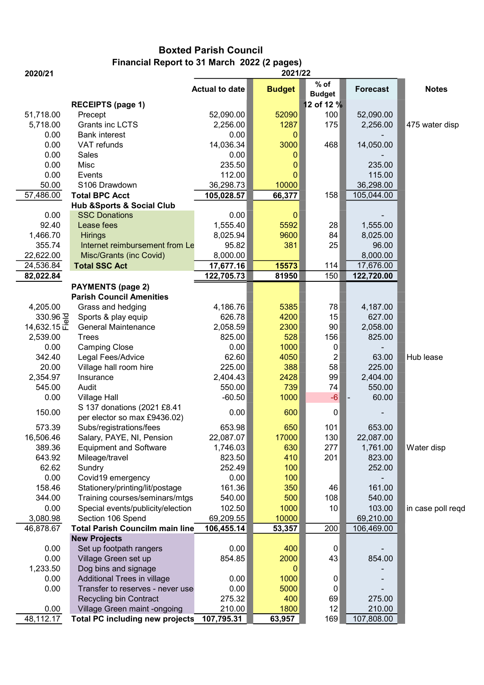## Boxted Parish Council Financial Report to 31 March 2022 (2 pages)

| 2020/21      |                                                 | 2021/22               |                  |                         |                 |                   |
|--------------|-------------------------------------------------|-----------------------|------------------|-------------------------|-----------------|-------------------|
|              |                                                 | <b>Actual to date</b> | <b>Budget</b>    | $%$ of<br><b>Budget</b> | <b>Forecast</b> | <b>Notes</b>      |
|              | <b>RECEIPTS (page 1)</b>                        |                       |                  | 12 of 12 %              |                 |                   |
| 51,718.00    | Precept                                         | 52,090.00             | 52090            | 100                     | 52,090.00       |                   |
| 5,718.00     | Grants inc LCTS                                 | 2,256.00              | 1287             | 175                     | 2,256.00        | 475 water disp    |
| 0.00         | <b>Bank interest</b>                            | 0.00                  | $\mathbf 0$      |                         |                 |                   |
| 0.00         | VAT refunds                                     | 14,036.34             | 3000             | 468                     | 14,050.00       |                   |
| 0.00         | Sales                                           | 0.00                  | 0                |                         |                 |                   |
| 0.00         | Misc                                            | 235.50                | $\bf{0}$         |                         | 235.00          |                   |
| 0.00         | Events                                          | 112.00                | $\mathbf 0$      |                         | 115.00          |                   |
| 50.00        | S106 Drawdown                                   | 36,298.73             | 10000            |                         | 36,298.00       |                   |
| 57,486.00    | <b>Total BPC Acct</b>                           | 105,028.57            | 66,377           | 158                     | 105,044.00      |                   |
|              | <b>Hub &amp;Sports &amp; Social Club</b>        |                       |                  |                         |                 |                   |
| 0.00         | <b>SSC Donations</b>                            | 0.00                  | $\boldsymbol{0}$ |                         |                 |                   |
| 92.40        | Lease fees                                      | 1,555.40              | 5592             | 28                      | 1,555.00        |                   |
| 1,466.70     | <b>Hirings</b>                                  | 8,025.94              | 9600             | 84                      | 8,025.00        |                   |
| 355.74       | Internet reimbursement from Le                  | 95.82                 | 381              | 25                      | 96.00           |                   |
| 22,622.00    | Misc/Grants (inc Covid)                         | 8,000.00              |                  |                         | 8,000.00        |                   |
| 24,536.84    | <b>Total SSC Act</b>                            | 17,677.16             | 15573            | 114                     | 17,676.00       |                   |
| 82,022.84    |                                                 | 122,705.73            | 81950            | 150                     | 122,720.00      |                   |
|              | <b>PAYMENTS (page 2)</b>                        |                       |                  |                         |                 |                   |
|              | <b>Parish Council Amenities</b>                 |                       |                  |                         |                 |                   |
| 4,205.00     | Grass and hedging                               | 4,186.76              | 5385             | 78                      | 4,187.00        |                   |
| 330.96 굥     | Sports & play equip                             | 626.78                | 4200             | 15                      | 627.00          |                   |
| 14,632.15 正  | <b>General Maintenance</b>                      | 2,058.59              | 2300             | 90                      | 2,058.00        |                   |
| 2,539.00     | <b>Trees</b>                                    | 825.00                | 528              | 156                     | 825.00          |                   |
| 0.00         | <b>Camping Close</b>                            | 0.00                  | 1000             | 0                       |                 |                   |
| 342.40       | Legal Fees/Advice                               | 62.60                 | 4050             | $\overline{\mathbf{c}}$ | 63.00           | Hub lease         |
| 20.00        | Village hall room hire                          | 225.00                | 388              | 58                      | 225.00          |                   |
| 2,354.97     | Insurance                                       | 2,404.43              | 2428             | 99                      | 2,404.00        |                   |
| 545.00       | Audit                                           | 550.00                | 739              | 74                      | 550.00          |                   |
| 0.00         | <b>Village Hall</b>                             | $-60.50$              | 1000             | $-6$                    | 60.00           |                   |
|              | S 137 donations (2021 £8.41                     |                       |                  |                         |                 |                   |
| 150.00       | per elector so max £9436.02)                    | 0.00                  | 600              | 0                       |                 |                   |
| 573.39       | Subs/registrations/fees                         | 653.98                | 650              | 101                     | 653.00          |                   |
| 16,506.46    | Salary, PAYE, NI, Pension                       | 22,087.07             | 17000            | 130                     | 22,087.00       |                   |
| 389.36       | <b>Equipment and Software</b>                   | 1,746.03              | 630              | 277                     | 1,761.00        | Water disp        |
| 643.92       | Mileage/travel                                  | 823.50                | 410              | 201                     | 823.00          |                   |
| 62.62        | Sundry                                          | 252.49                | 100              |                         | 252.00          |                   |
| 0.00         | Covid19 emergency                               | 0.00                  | 100              |                         |                 |                   |
| 158.46       | Stationery/printing/lit/postage                 | 161.36                | 350              | 46                      | 161.00          |                   |
| 344.00       | Training courses/seminars/mtgs                  | 540.00                | 500              | 108                     | 540.00          |                   |
| 0.00         | Special events/publicity/election               | 102.50                | 1000             | 10                      | 103.00          | in case poll reqd |
| 3,080.98     | Section 106 Spend                               | 69,209.55             | 10000            |                         | 69,210.00       |                   |
| 46,878.67    | <b>Total Parish Councilm main line</b>          |                       |                  | 200                     | 106,469.00      |                   |
|              |                                                 | 106,455.14            | 53,357           |                         |                 |                   |
|              | <b>New Projects</b>                             |                       | 400              |                         |                 |                   |
| 0.00<br>0.00 | Set up footpath rangers<br>Village Green set up | 0.00<br>854.85        | 2000             | 0 <br>43                |                 |                   |
|              |                                                 |                       |                  |                         | 854.00          |                   |
| 1,233.50     | Dog bins and signage                            |                       | 0                |                         |                 |                   |
| 0.00         | Additional Trees in village                     | 0.00                  | 1000             | 0                       |                 |                   |
| 0.00         | Transfer to reserves - never use                | 0.00                  | 5000             | 0                       |                 |                   |
|              | Recycling bin Contract                          | 275.32                | 400              | 69                      | 275.00          |                   |
| 0.00         | Village Green maint -ongoing                    | 210.00                | 1800             | 12                      | 210.00          |                   |
| 48,112.17    | <b>Total PC including new projects</b>          | 107,795.31            | 63,957           | 169                     | 107,808.00      |                   |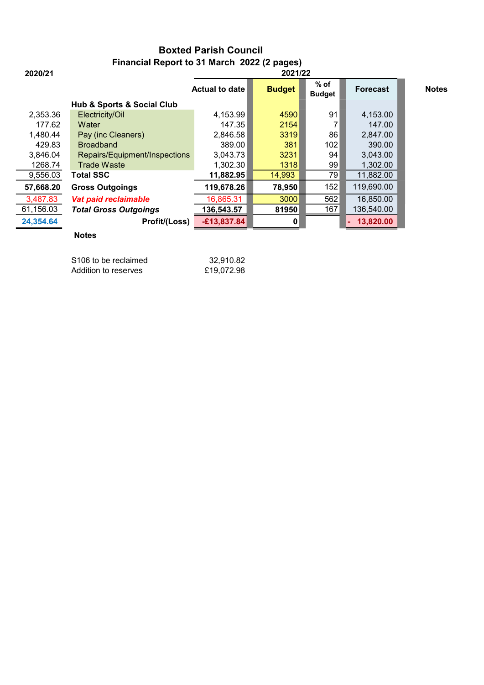## Boxted Parish Council Financial Report to 31 March 2022 (2 pages)

| 2020/21   | 2021/22                                   |                |               |                         |                 |              |
|-----------|-------------------------------------------|----------------|---------------|-------------------------|-----------------|--------------|
|           |                                           | Actual to date | <b>Budget</b> | $%$ of<br><b>Budget</b> | <b>Forecast</b> | <b>Notes</b> |
|           | <b>Hub &amp; Sports &amp; Social Club</b> |                |               |                         |                 |              |
| 2,353.36  | Electricity/Oil                           | 4,153.99       | 4590          | 91                      | 4,153.00        |              |
| 177.62    | Water                                     | 147.35         | 2154          |                         | 147.00          |              |
| 1,480.44  | Pay (inc Cleaners)                        | 2,846.58       | 3319          | 86                      | 2,847.00        |              |
| 429.83    | <b>Broadband</b>                          | 389.00         | 381           | 102                     | 390.00          |              |
| 3,846.04  | Repairs/Equipment/Inspections             | 3,043.73       | 3231          | 94                      | 3,043.00        |              |
| 1268.74   | <b>Trade Waste</b>                        | 1,302.30       | 1318          | 99                      | 1,302.00        |              |
| 9,556.03  | <b>Total SSC</b>                          | 11,882.95      | 14,993        | 79                      | 11,882.00       |              |
| 57,668.20 | <b>Gross Outgoings</b>                    | 119,678.26     | 78,950        | 152                     | 119,690.00      |              |
| 3,487.83  | Vat paid reclaimable                      | 16,865.31      | 3000          | 562                     | 16,850.00       |              |
| 61,156.03 | <b>Total Gross Outgoings</b>              | 136,543.57     | 81950         | 167                     | 136,540.00      |              |
| 24,354.64 | Profit/(Loss)                             | $-£13,837.84$  | 0             |                         | 13,820.00       |              |
|           |                                           |                |               |                         |                 |              |

## Notes

| S106 to be reclaimed | 32.910.82  |
|----------------------|------------|
| Addition to reserves | £19.072.98 |